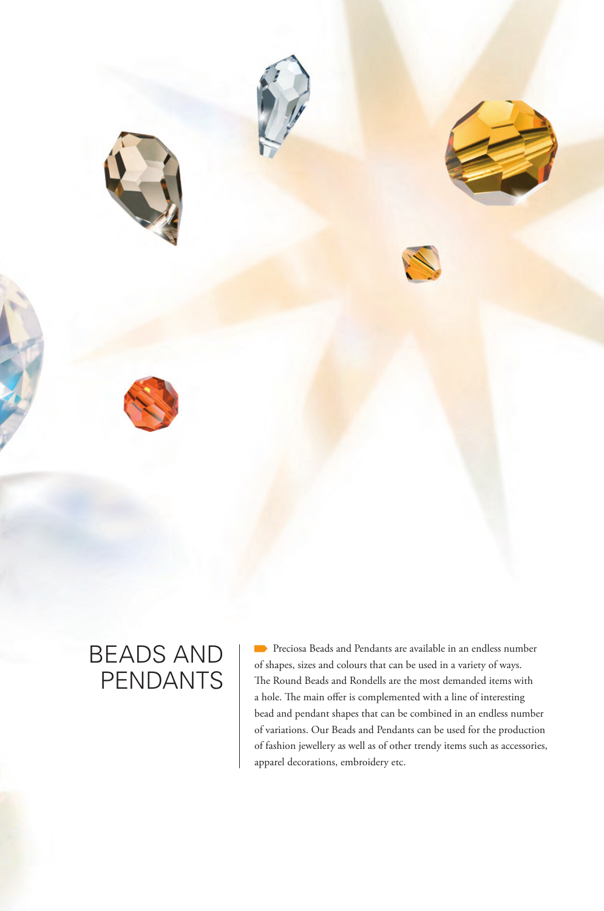

# BEADS AND PENDANTS

**Preciosa Beads and Pendants are available in an endless number** of shapes, sizes and colours that can be used in a variety of ways. The Round Beads and Rondells are the most demanded items with a hole. The main offer is complemented with a line of interesting bead and pendant shapes that can be combined in an endless number of variations. Our Beads and Pendants can be used for the production of fashion jewellery as well as of other trendy items such as accessories, apparel decorations, embroidery etc.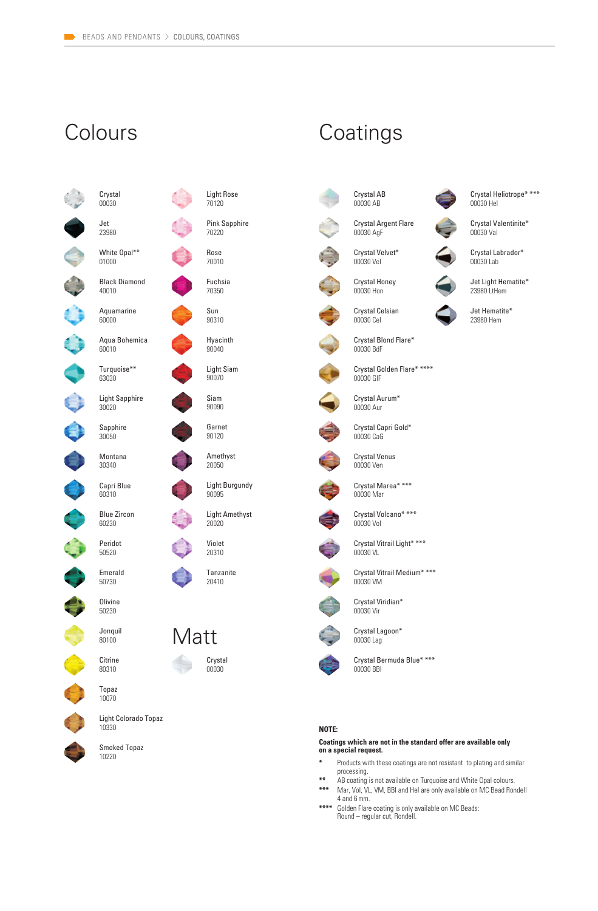# Colours Coatings

 $\ddot{\bullet}$ 

O

0



Light Rose 70120

Pink Sapphire 70220 Rose

Fuchsia 70350

70010



Hyacinth  $90040$ 

Light Siam 90070

Siam 90090

Garnet 90120

Amethyst 20050

Light Burgundy 90095

Light Amethyst 20020

Violet 20310

> Tanzanite 20410





Smoked Topaz 10220



Crystal Argent Flare 00030 AgF



00030 Vel Crystal Honey 00030 Hon

Crystal Velvet\*

Crystal Celsian 00030 Cel

00030 BdF Crystal Golden Flare\* \*\*\*\* 00030 GlF

Crystal Aurum\* 00030 Aur

Crystal Blond Flare\*



Crystal Capri Gold\* 00030 CaG



Crystal Venus 00030 Ven



Crystal Marea\* \*\*\*  $n$ 00030 Mar



Crystal Volcano\* \*\*\*



Crystal Vitrail Light\* \*\*\* 00030 VL



Crystal Vitrail Medium\* \*\*\* 00030 VM



Crystal Viridian\* 00030 Vir



Crystal Lagoon\* 00030 Lag



Crystal Bermuda Blue\* \*\*\* 00030 BBl

#### **NOTE:**

**Coatings which are not in the standard offer are available only on a special request.**

- **\*** Products with these coatings are not resistant to plating and similar processing.
- **\*\*** AB coating is not available on Turquoise and White Opal colours.<br>**\*\*\*** Mar Vol. VL, VM, BBI and Hel are only available on MC Bead Bor Mar, Vol, VL, VM, BBI and Hel are only available on MC Bead Rondell 4 and 6 mm.
- **\*\*\*\*** Golden Flare coating is only available on MC Beads: Round – regular cut, Rondell.



Crystal Heliotrope\* \*\*\* 00030 Hel

Crystal Valentinite\* 00030 Val

Crystal Labrador\* 00030 Lab

Jet Light Hematite\* 23980 LtHem

Jet Hematite\* 23980 Hem















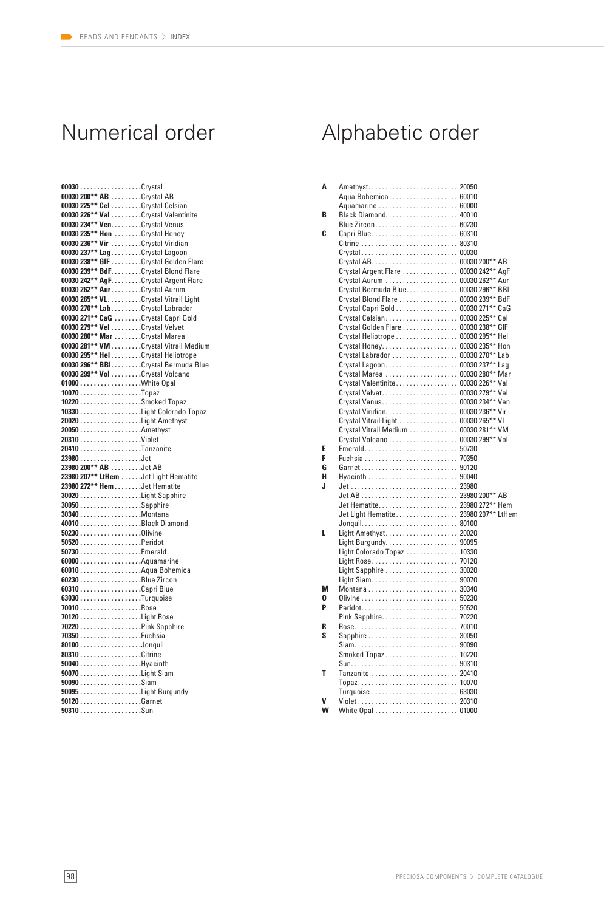| 00030Crystal                          |  |
|---------------------------------------|--|
| 00030 200** AB Crystal AB             |  |
| 00030 225** Cel Crystal Celsian       |  |
| 00030 226** Val Crystal Valentinite   |  |
| 00030 234** Ven. Crystal Venus        |  |
| 00030 235** Hon Crystal Honey         |  |
| 00030 236** Vir Crystal Viridian      |  |
| 00030 237** Lag. Crystal Lagoon       |  |
| 00030 238** GIF Crystal Golden Flare  |  |
| 00030 239** BdF. Crystal Blond Flare  |  |
| 00030 242** AgF. Crystal Argent Flare |  |
| 00030 262** Aur. Crystal Aurum        |  |
| 00030 265** VL. Crystal Vitrail Light |  |
| 00030 270** Lab. Crystal Labrador     |  |
| 00030 271** CaG Crystal Capri Gold    |  |
| 00030 279** Vel Crystal Velvet        |  |
| 00030 280** Mar Crystal Marea         |  |
| 00030 281** VM Crystal Vitrail Medium |  |
| 00030 295** HelCrystal Heliotrope     |  |
| 00030 296** BBI. Crystal Bermuda Blue |  |
| 00030 299** Vol Crystal Volcano       |  |
|                                       |  |
| 10070Topaz                            |  |
|                                       |  |
|                                       |  |
|                                       |  |
|                                       |  |
| 20310Violet                           |  |
|                                       |  |
|                                       |  |
| 20410Tanzanite                        |  |
| 23980Jet                              |  |
| 23980 200** AB Jet AB                 |  |
| 23980 207** LtHem Jet Light Hematite  |  |
| 23980 272** Hem Jet Hematite          |  |
|                                       |  |
| 30050Sapphire                         |  |
| 30340 Montana                         |  |
|                                       |  |
|                                       |  |
| 50520 Peridot                         |  |
|                                       |  |
| 60000Aquamarine                       |  |
| 60230 Blue Zircon                     |  |
|                                       |  |
| $63030$ Turquoise                     |  |
| 70010Rose                             |  |
| 70120 Light Rose                      |  |
|                                       |  |
| 70350Fuchsia                          |  |
| 80100Jonquil                          |  |
| 80310Citrine                          |  |
|                                       |  |
| 90040Hyacinth<br>90070Light Siam      |  |
| 90090Siam                             |  |
| 90095 Light Burgundy                  |  |
| 90120Garnet                           |  |
| 90310Sun                              |  |

# Numerical order Alphabetic order

| Α | Amethyst 20050                        |  |
|---|---------------------------------------|--|
|   | Aqua Bohemica 60010                   |  |
|   | Aquamarine  60000                     |  |
| B |                                       |  |
|   | Blue Zircon 60230                     |  |
| C |                                       |  |
|   |                                       |  |
|   | Crystal 00030                         |  |
|   |                                       |  |
|   | Crystal Argent Flare  00030 242** AgF |  |
|   |                                       |  |
|   | Crystal Bermuda Blue. 00030 296** BBI |  |
|   | Crystal Blond Flare  00030 239** BdF  |  |
|   | Crystal Capri Gold 00030 271** CaG    |  |
|   | Crystal Celsian 00030 225** Cel       |  |
|   | Crystal Golden Flare 00030 238** GIF  |  |
|   | Crystal Heliotrope  00030 295** Hel   |  |
|   | Crystal Honey 00030 235** Hon         |  |
|   | Crystal Labrador  00030 270** Lab     |  |
|   | Crystal Lagoon 00030 237** Lag        |  |
|   | Crystal Marea  00030 280** Mar        |  |
|   | Crystal Valentinite 00030 226** Val   |  |
|   | Crystal Velvet 00030 279** Vel        |  |
|   |                                       |  |
|   | Crystal Venus 00030 234** Ven         |  |
|   |                                       |  |
|   | Crystal Vitrail Light  00030 265** VL |  |
|   | Crystal Vitrail Medium 00030 281** VM |  |
|   | Crystal Volcano 00030 299** Vol       |  |
| Е | Emerald 50730                         |  |
| F |                                       |  |
| G | Garnet 90120                          |  |
| н |                                       |  |
| J |                                       |  |
|   |                                       |  |
|   |                                       |  |
|   | Jet Light Hematite 23980 207** LtHem  |  |
|   |                                       |  |
| L | Light Amethyst 20020                  |  |
|   | Light Burgundy 90095                  |  |
|   | Light Colorado Topaz  10330           |  |
|   |                                       |  |
|   | Light Sapphire  30020                 |  |
|   | Light Siam 90070                      |  |
| М |                                       |  |
| 0 |                                       |  |
| P | Peridot 50520                         |  |
|   | Pink Sapphire 70220                   |  |
| R |                                       |  |
| S | Sapphire  30050                       |  |
|   |                                       |  |
|   |                                       |  |
|   |                                       |  |
| т | Tanzanite  20410                      |  |
|   | Topaz 10070                           |  |
|   |                                       |  |
| V |                                       |  |
| w | White Opal  01000                     |  |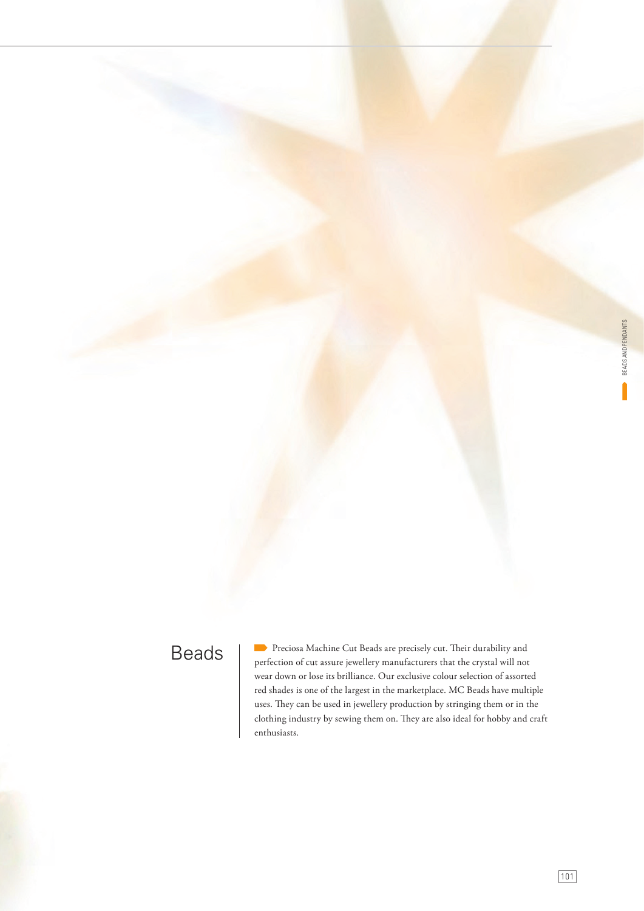# Beads

Preciosa Machine Cut Beads are precisely cut. Their durability and perfection of cut assure jewellery manufacturers that the crystal will not wear down or lose its brilliance. Our exclusive colour selection of assorted red shades is one of the largest in the marketplace. MC Beads have multiple uses. They can be used in jewellery production by stringing them or in the clothing industry by sewing them on. They are also ideal for hobby and craft enthusiasts.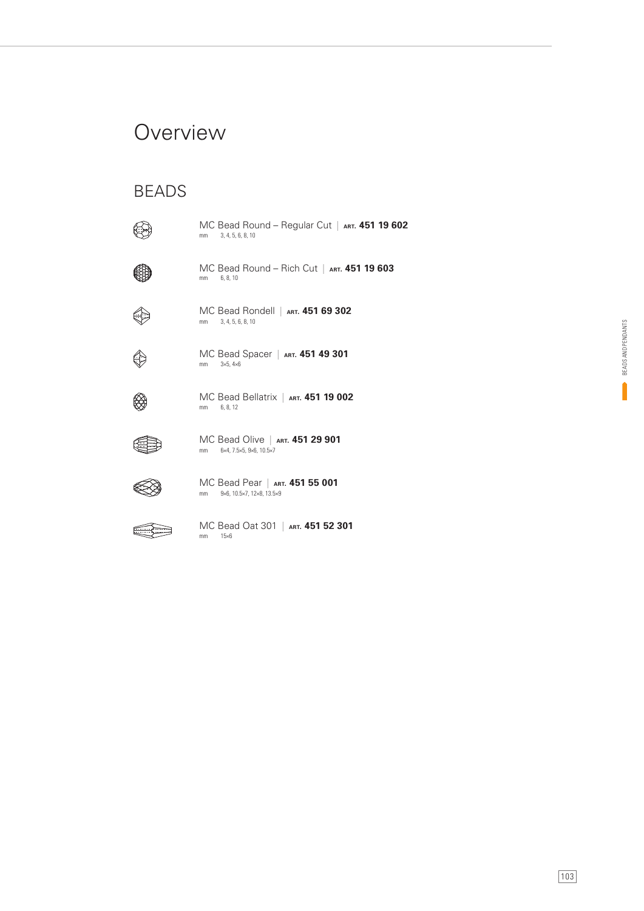## **Overview**

### BEADS

mm 3, 4, 5, 6, 8, 10 MC Bead Round – Regular Cut | **ART. 451 19 602**



mm 6, 8, 10 MC Bead Round – Rich Cut | **ART. 451 19 603**



mm 3, 4, 5, 6, 8, 10 MC Bead Rondell | **ART. 451 69 302**



mm 3×5, 4×6 MC Bead Spacer | **ART. 451 49 301**



mm 6, 8, 12 MC Bead Bellatrix | **ART. 451 19 002**



mm 6×4, 7.5×5, 9×6, 10.5×7 MC Bead Olive | **ART. 451 29 901**



mm 9×6, 10.5×7, 12×8, 13.5×9 MC Bead Pear | **ART. 451 55 001**



mm 15×6 MC Bead Oat 301 | **ART. 451 52 301**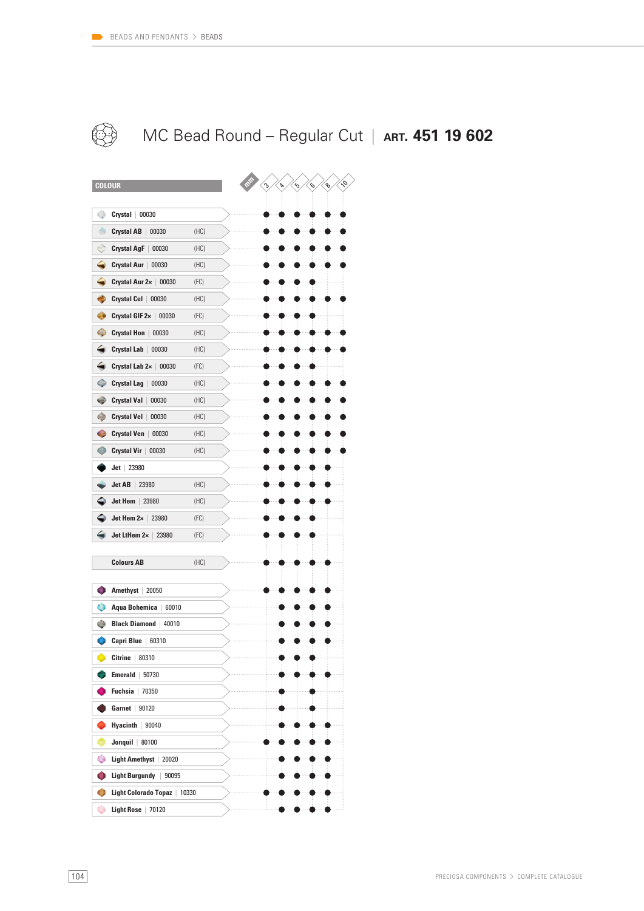

## MC Bead Round – Regular Cut | **ART. 451 19 602**

| <b>COLOUR</b>                      |      |  | ە<br>Þ | ⇘ | G,<br>$\mathcal{S}$ | Ş |
|------------------------------------|------|--|--------|---|---------------------|---|
| ۲<br>Crystal<br>00030              |      |  |        |   |                     |   |
| ۰<br><b>Crystal AB</b><br>00030    | (HC) |  |        |   |                     |   |
| Ò<br>Crystal AgF  <br>00030        | (HC) |  |        |   |                     |   |
| Crystal Aur  <br>00030             | (HC) |  |        |   |                     |   |
| Crystal Aur 2x   00030             | (FC) |  |        |   |                     |   |
| Crystal Cel  <br>00030             | (HC) |  |        |   |                     |   |
| ۰<br>Crystal GIF 2x  <br>00030     | (FC) |  |        |   |                     |   |
| Ф<br><b>Crystal Hon</b><br>00030   | (HC) |  |        |   |                     |   |
| ◒<br><b>Crystal Lab</b><br>00030   | (HC) |  |        |   |                     |   |
| Crystal Lab 2x   00030             | (FC) |  |        |   |                     |   |
| <b>Crystal Lag</b><br>00030<br>0   | (HC) |  |        |   |                     |   |
| e<br><b>Crystal Val</b><br>00030   | (HC) |  |        |   |                     |   |
| ۸<br>Crystal Vel  <br>00030        | (HC) |  |        |   |                     |   |
| <b>Crystal Ven</b><br>e<br>00030   | (HC) |  |        |   |                     |   |
| <b>Crystal Vir</b><br>00030        | (HC) |  |        |   |                     |   |
| 23980<br>Jet                       |      |  |        |   |                     |   |
| Jet AB<br>23980                    | (HC) |  |        |   |                     |   |
| Jet Hem<br>23980                   | (HC) |  |        |   |                     |   |
| Jet Hem $2 \times 23980$           | (FC) |  |        |   |                     |   |
| Jet LtHem $2 \times 23980$         | (FC) |  |        |   |                     |   |
|                                    |      |  |        |   |                     |   |
| <b>Colours AB</b>                  | (HC) |  |        |   |                     |   |
| Amethyst   20050                   |      |  |        |   |                     |   |
| o<br>Aqua Bohemica<br>60010        |      |  |        |   |                     |   |
| ۵<br><b>Black Diamond</b><br>40010 |      |  |        |   |                     |   |
| Capri Blue   60310                 |      |  |        |   |                     |   |
| Citrine $ 80310$                   |      |  |        |   |                     |   |
| Emerald<br>50730                   |      |  |        |   |                     |   |
| <b>Fuchsia</b><br>70350            |      |  |        |   |                     |   |
| Garnet<br>90120                    |      |  |        |   |                     |   |
| Hyacinth $  90040$                 |      |  |        |   |                     |   |
| Jonquil $ 80100$<br>5              |      |  |        |   |                     |   |
| ۰<br>Light Amethyst   20020        |      |  |        |   |                     |   |
| Light Burgundy   90095<br>O        |      |  |        |   |                     |   |
| O<br>Light Colorado Topaz   10330  |      |  |        |   |                     |   |
| ۰<br><b>Light Rose</b><br>70120    |      |  |        |   |                     |   |
|                                    |      |  |        |   |                     |   |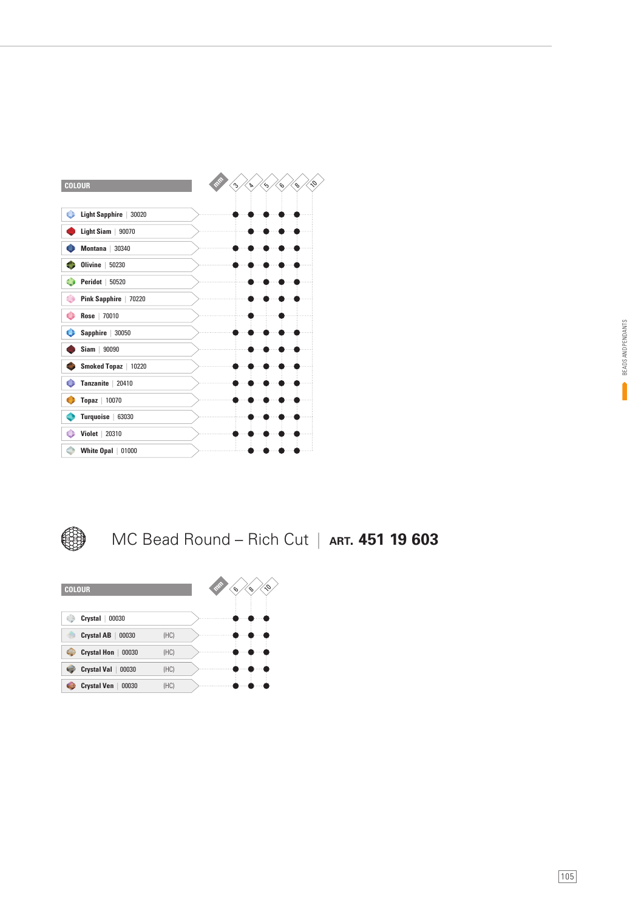



MC Bead Round – Rich Cut | **ART. 451 19 603**

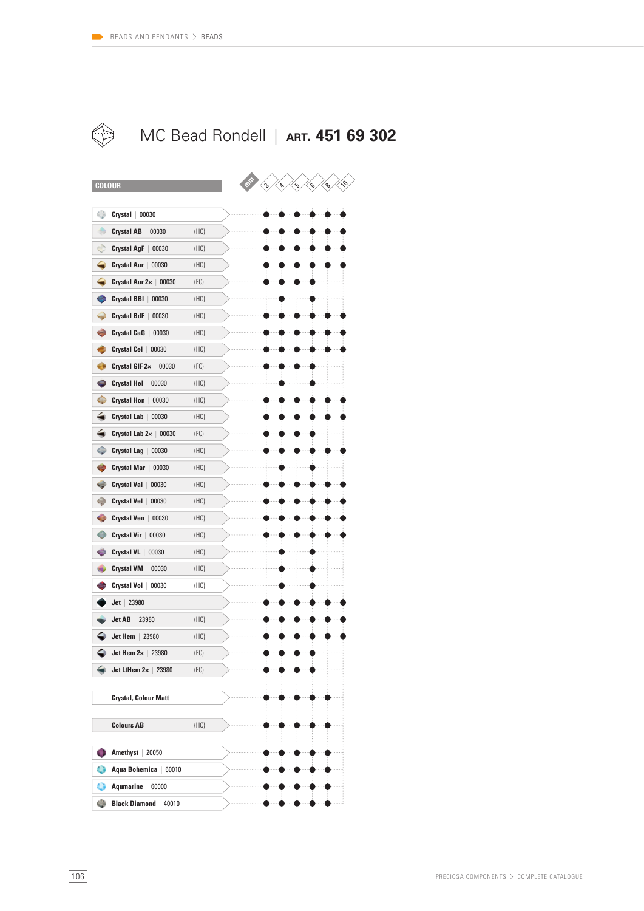

#### $\Leftrightarrow$ MC Bead Rondell | **ART. 451 69 302**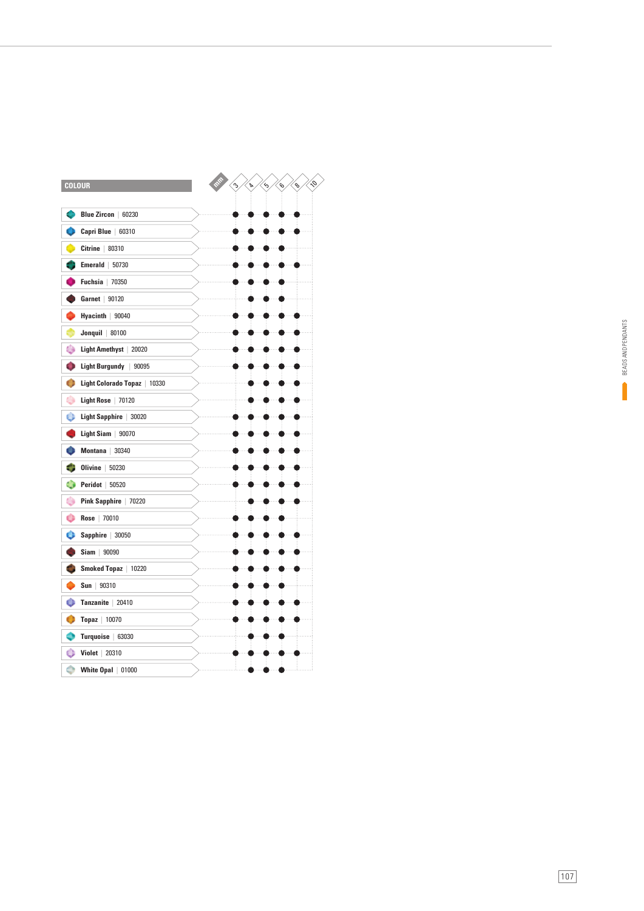| <b>COLOUR</b>                     | Ģ<br>$\hat{\mathcal{C}}$<br>$\triangleright$<br>্ঠ<br>$\mathcal{S}$<br>$\mathcal{S}$ |
|-----------------------------------|--------------------------------------------------------------------------------------|
|                                   |                                                                                      |
| Blue Zircon   60230               |                                                                                      |
| Capri Blue   60310                |                                                                                      |
| $Citrine$ 80310                   |                                                                                      |
| Emerald   50730                   |                                                                                      |
| Fuchsia<br>70350                  |                                                                                      |
| Garnet   90120                    |                                                                                      |
| Hyacinth   90040                  |                                                                                      |
| Jonquil $ 80100$                  |                                                                                      |
| ۵<br>Light Amethyst   20020       |                                                                                      |
| O<br>Light Burgundy   90095       |                                                                                      |
| o<br>Light Colorado Topaz   10330 |                                                                                      |
| ۰<br>Light Rose   70120           |                                                                                      |
| ô                                 |                                                                                      |
| Light Sapphire   30020            |                                                                                      |
| Light Siam   90070                |                                                                                      |
| Montana   30340                   |                                                                                      |
| Olivine<br>50230                  |                                                                                      |
| ۰<br><b>Peridot</b>   50520       |                                                                                      |
| ۰<br>Pink Sapphire   70220        |                                                                                      |
| o<br>Rose   70010                 |                                                                                      |
| е<br>Sapphire  <br>30050          |                                                                                      |
| Siam<br>90090                     |                                                                                      |
| Smoked Topaz   10220              |                                                                                      |
| Sun<br>90310                      |                                                                                      |
| o<br>Tanzanite   20410            |                                                                                      |
| <b>Topaz</b>   10070              |                                                                                      |
| <b>Turquoise</b><br>63030         |                                                                                      |
| o<br><b>Violet</b>   20310        |                                                                                      |
| Ó<br>White $Opal$   01000         |                                                                                      |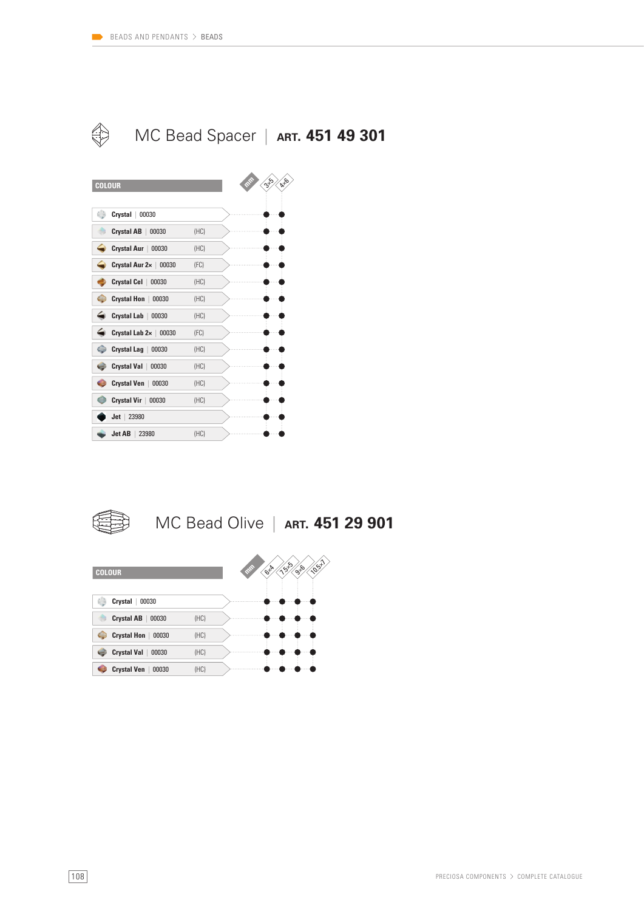





### MC Bead Olive | **ART. 451 29 901**

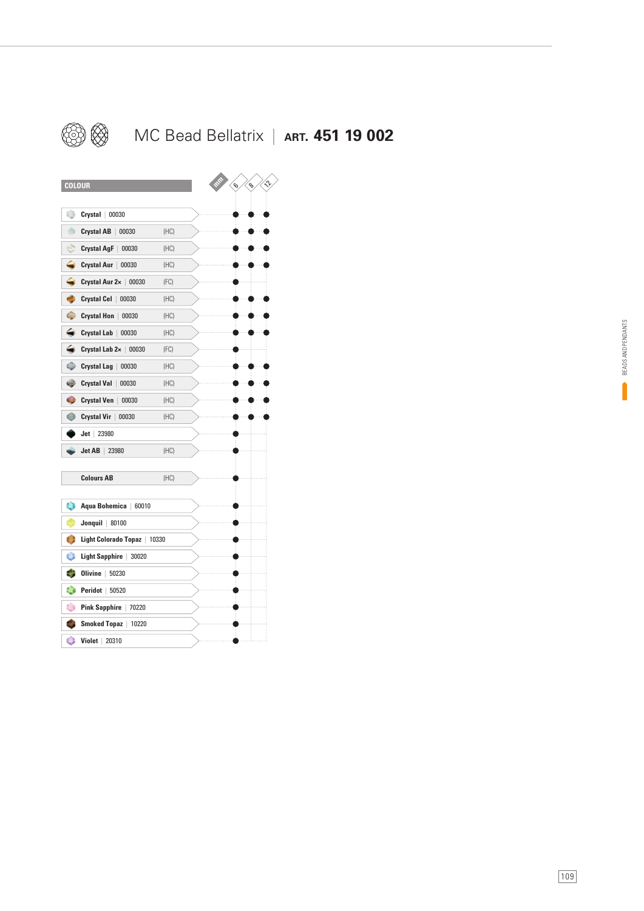

### MC Bead Bellatrix | **ART. 451 19 002**

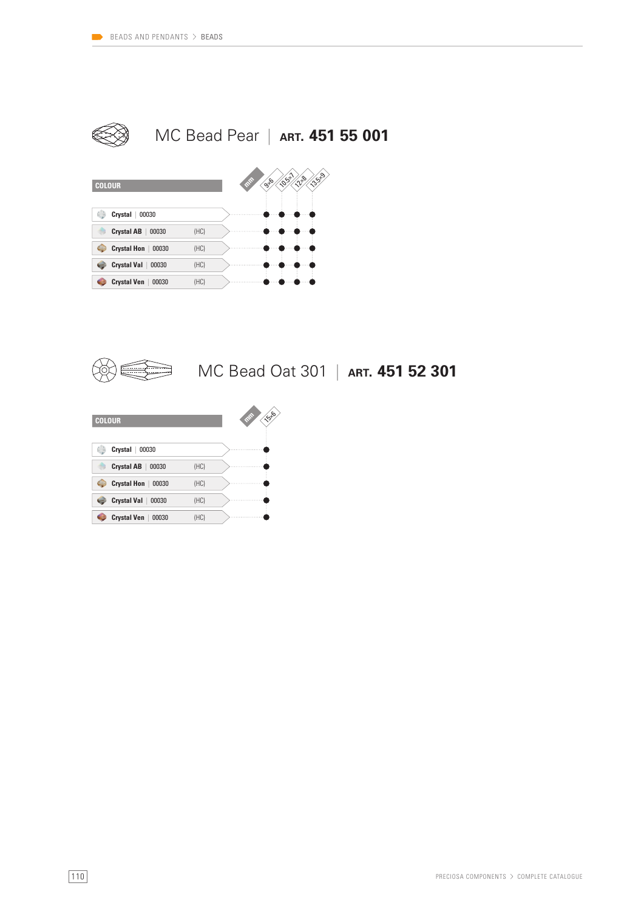



### MC Bead Oat 301 | **ART. 451 52 301**

| <b>COLOUR</b>               |      | 1556<br><b>RAW</b> |
|-----------------------------|------|--------------------|
| <b>Crystal</b><br>00030     |      |                    |
| Crystal AB<br>00030         | (HC) |                    |
| <b>Crystal Hon</b><br>00030 | (HC) |                    |
| Crystal Val<br>00030        | (HC) |                    |
| Crystal Ven<br>00030        | (HC) |                    |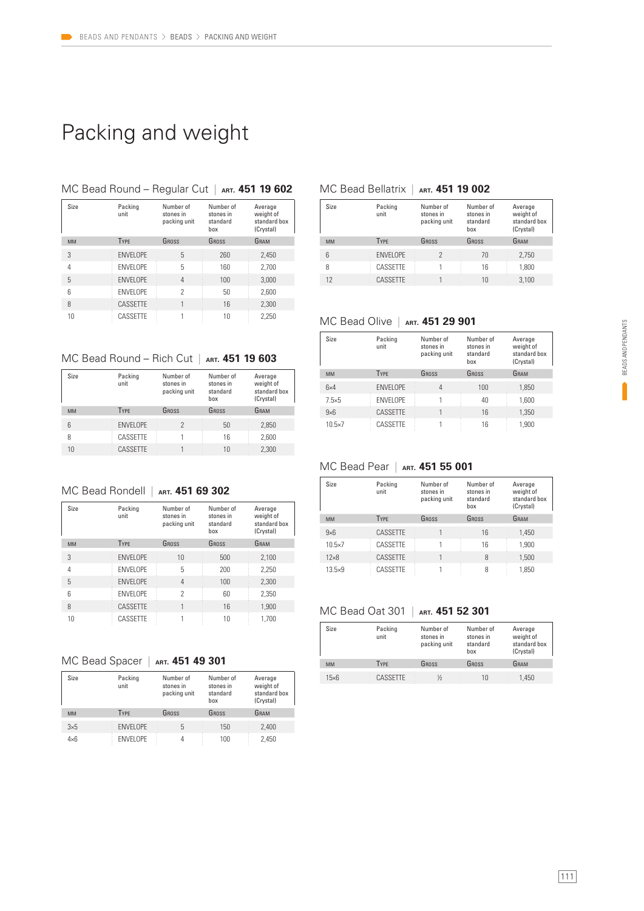# Packing and weight

#### Size Packing MC Bead Round – Regular Cut | **ART. 451 19 602**

| Size      | Packing<br>unit | Number of<br>stones in<br>packing unit | Number of<br>stones in<br>standard<br>box | Average<br>weight of<br>standard box<br>(Crystal) |
|-----------|-----------------|----------------------------------------|-------------------------------------------|---------------------------------------------------|
| <b>MM</b> | <b>TYPE</b>     | GROSS                                  | GROSS                                     | GRAM                                              |
| 3         | <b>ENVELOPE</b> | 5                                      | 260                                       | 2,450                                             |
| 4         | <b>ENVELOPE</b> | 5                                      | 160                                       | 2,700                                             |
| 5         | <b>ENVELOPE</b> | 4                                      | 100                                       | 3,000                                             |
| 6         | <b>ENVELOPE</b> | 2                                      | 50                                        | 2,600                                             |
| 8         | CASSETTE        |                                        | 16                                        | 2,300                                             |
| 10        | CASSETTE        |                                        | 10                                        | 2,250                                             |

#### MC Bead Round – Rich Cut | **ART. 451 19 603**

|           | Size | Packing<br>unit | Number of<br>stones in<br>packing unit | Number of<br>stones in<br>standard | Average<br>weight of<br>standard box |
|-----------|------|-----------------|----------------------------------------|------------------------------------|--------------------------------------|
|           |      |                 |                                        | hox                                | (Crystal)                            |
| <b>MM</b> |      | <b>TYPE</b>     | GROSS                                  | GROSS                              | GRAM                                 |
| 6         |      | <b>ENVELOPE</b> | 2                                      | 50                                 | 2,850                                |
| 8         |      | CASSETTE        |                                        | 16                                 | 2.600                                |
| 10        |      | CASSETTE        |                                        | 10                                 | 2.300                                |

#### MC Bead Rondell | **ART. 451 69 302**

| Size      | Packing<br>unit  | Number of<br>stones in<br>packing unit | Number of<br>stones in<br>standard<br>box | Average<br>weight of<br>standard box<br>(Crystal) |
|-----------|------------------|----------------------------------------|-------------------------------------------|---------------------------------------------------|
| <b>MM</b> | <b>TYPE</b>      | GROSS                                  | GROSS                                     | GRAM                                              |
| 3         | <b>ENVELOPE</b>  | 10                                     | 500                                       | 2,100                                             |
| 4         | <b>ENVELOPE</b>  | 5                                      | 200                                       | 2,250                                             |
| 5         | <b>FNVFI OPF</b> | 4                                      | 100                                       | 2,300                                             |
| 6         | <b>FNVFI OPF</b> | 2                                      | 60                                        | 2,350                                             |
| 8         | CASSETTE         |                                        | 16                                        | 1,900                                             |
| 10        | CASSETTE         |                                        | 10                                        | 1.700                                             |

#### MC Bead Spacer | **ART. 451 49 301**

| Size        | Packing<br>unit  | Number of<br>stones in<br>packing unit | Number of<br>stones in<br>standard<br>box | Average<br>weight of<br>standard box<br>(Crystal) |
|-------------|------------------|----------------------------------------|-------------------------------------------|---------------------------------------------------|
| <b>MM</b>   | <b>TYPE</b>      | GROSS                                  | GROSS                                     | GRAM                                              |
| $3\times5$  | <b>ENVELOPE</b>  | 5                                      | 150                                       | 2,400                                             |
| $4\times 6$ | <b>FNVFI OPF</b> |                                        | 100                                       | 2.450                                             |

#### MC Bead Bellatrix | **ART. 451 19 002**

| Size            | Packing<br>unit  | Number of<br>stones in<br>packing unit | Number of<br>stones in<br>standard<br>box | Average<br>weight of<br>standard box<br>(Crystal) |
|-----------------|------------------|----------------------------------------|-------------------------------------------|---------------------------------------------------|
| <b>MM</b>       | <b>TYPE</b>      | GROSS                                  | GROSS                                     | GRAM                                              |
| $6\overline{6}$ | <b>FNVFI OPF</b> |                                        | 70                                        | 2,750                                             |
| 8               | CASSFTTF         |                                        | 16                                        | 1.800                                             |
| 12              | CASSETTE         |                                        | 10                                        | 3.100                                             |

#### MC Bead Olive | **ART. 451 29 901**

| Size            | Packing<br>unit  | Number of<br>stones in<br>packing unit | Number of<br>stones in<br>standard<br>hox | Average<br>weight of<br>standard box<br>(Crystal) |
|-----------------|------------------|----------------------------------------|-------------------------------------------|---------------------------------------------------|
| <b>MM</b>       | <b>TYPE</b>      | GROSS                                  | GROSS                                     | GRAM                                              |
| 6x4             | <b>ENVELOPE</b>  | 4                                      | 100                                       | 1,850                                             |
| $7.5\times 5$   | <b>FNVFI OPF</b> |                                        | 40                                        | 1.600                                             |
| $9\times 6$     | CASSETTE         |                                        | 16                                        | 1.350                                             |
| $10.5 \times 7$ | CASSETTE         |                                        | 16                                        | 1.900                                             |

#### MC Bead Pear | **ART. 451 55 001**

| Size            | Packing<br>unit | Number of<br>stones in<br>packing unit | Number of<br>stones in<br>standard<br>hox | Average<br>weight of<br>standard box<br>(Crystal) |
|-----------------|-----------------|----------------------------------------|-------------------------------------------|---------------------------------------------------|
| <b>MM</b>       | <b>TYPE</b>     | GROSS                                  | GROSS                                     | GRAM                                              |
| $9\times 6$     | CASSETTE        |                                        | 16                                        | 1.450                                             |
| $10.5 \times 7$ | CASSFTTF        |                                        | 16                                        | 1.900                                             |
| $12\times8$     | CASSETTE        |                                        | 8                                         | 1.500                                             |
| $13.5 \times 9$ | CASSFTTF        |                                        | 8                                         | 1.850                                             |

#### MC Bead Oat 301 | **ART. 451 52 301**

| Size         | Packing<br>unit | Number of<br>stones in<br>packing unit | Number of<br>stones in<br>standard<br>box | Average<br>weight of<br>standard box<br>(Crystal) |
|--------------|-----------------|----------------------------------------|-------------------------------------------|---------------------------------------------------|
| <b>MM</b>    | <b>TYPE</b>     | GROSS                                  | GROSS                                     | GRAM                                              |
| $15\times 6$ | CASSETTE        | ⅓                                      | 10                                        | 1,450                                             |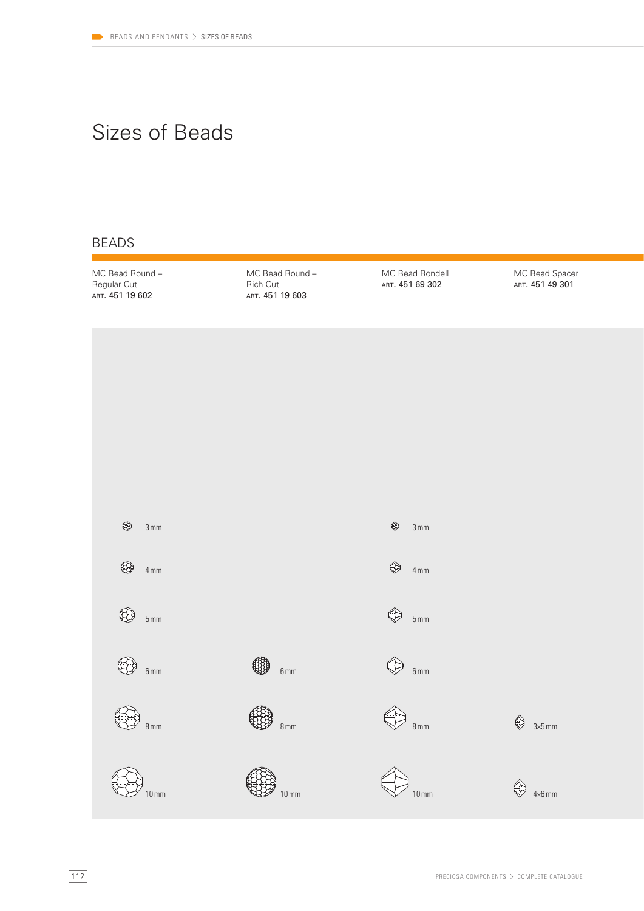# Sizes of Beads

### BEADS

MC Bead Round – Regular Cut ART. 451 19 602

MC Bead Round – Rich Cut ART. 451 19 603

MC Bead Rondell ART. 451 69 302

MC Bead Spacer ART. 451 49 301

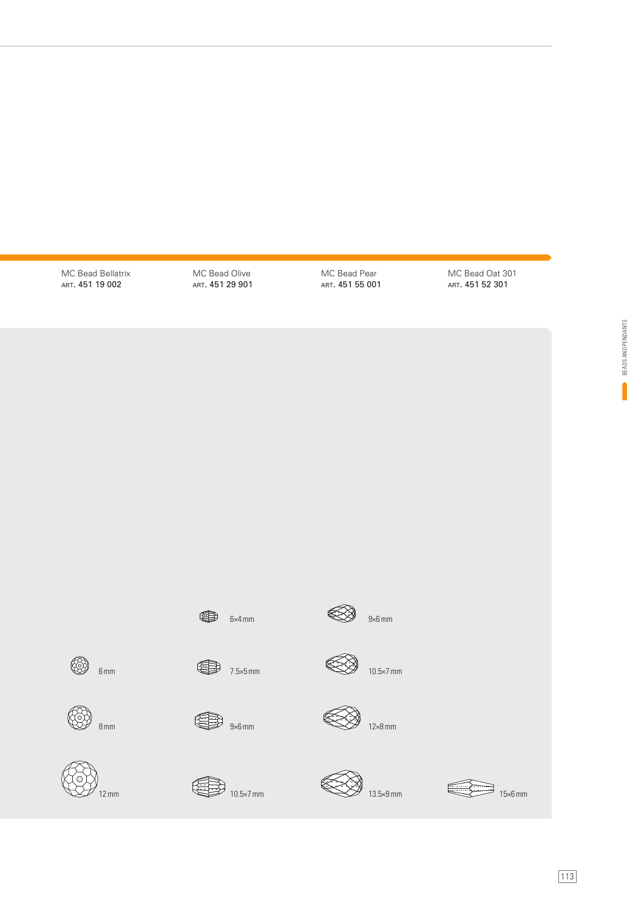MC Bead Bellatrix ART. 451 19 002

12 mm

 $\bigotimes_{8 \text{mm}}$ 

 $\bigotimes$  6mm

MC Bead Olive ART. 451 29 901 MC Bead Pear ART. 451 55 001 MC Bead Oat 301 ART. 451 52 301

> BEADS AND PENDANTS BEADS AND PENDANTS



15×6 mm

 $6 \times 4 \text{ mm}$ 

 $\bigoplus$  7.5×5 mm

 $\bigoplus$  10.5×7 mm

 $\bigoplus$  9×6 mm





**SIP** 









13.5×9 mm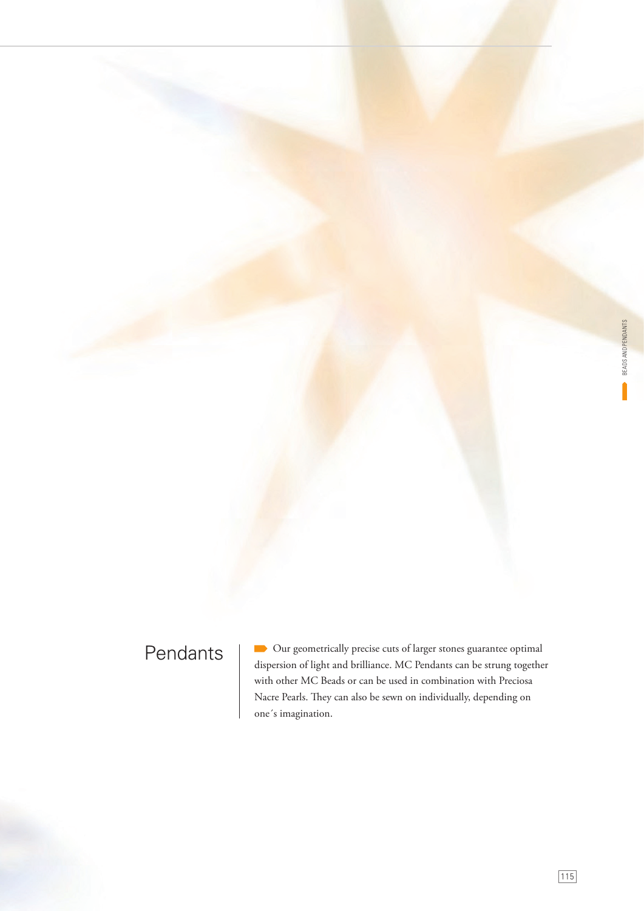# Pendants

 Our geometrically precise cuts of larger stones guarantee optimal dispersion of light and brilliance. MC Pendants can be strung together with other MC Beads or can be used in combination with Preciosa Nacre Pearls. They can also be sewn on individually, depending on one´s imagination.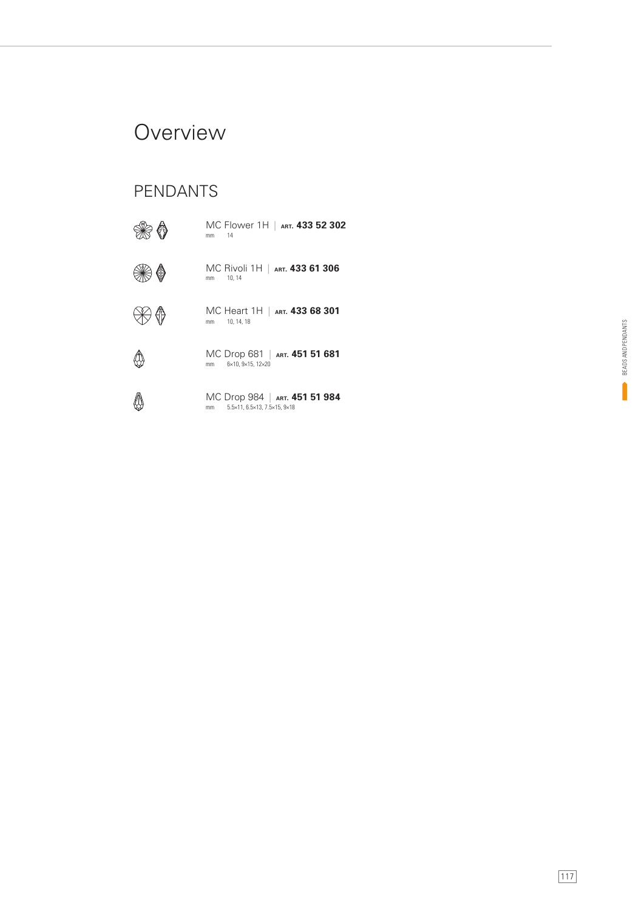## **Overview**

### PENDANTS

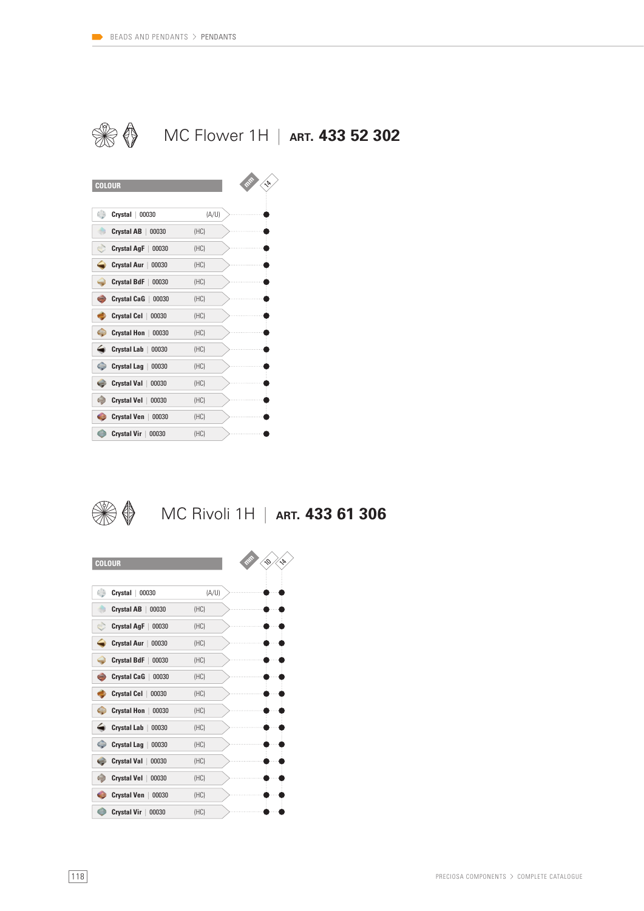



**Crystal Hon** | 00030 (HC) **Crystal Lab** | 00030 (HC) **Crystal Lag** | 00030 (HC) **Crystal Val** | 00030 (HC) **Crystal Vel** | 00030 (HC) **Crystal Ven** | 00030 (HC) **Crystal Vir** | 00030 (HC)

### MC Rivoli 1H | **ART. 433 61 306**

| <b>COLOUR</b>                    |       |
|----------------------------------|-------|
|                                  |       |
| ۲<br>Crystal<br>00030            | (A/U) |
| <b>Crystal AB</b><br>00030       | (HC)  |
| <b>Crystal AgF</b><br>00030      | (HC)  |
| <b>Crystal Aur</b><br>00030      | (HC)  |
| <b>Crystal BdF</b><br>00030      | (HC)  |
| <b>Crystal CaG</b><br>00030      | (HC)  |
| <b>Crystal Cel</b><br>00030      | (HC)  |
| <b>Crystal Hon</b><br>00030      | (HC)  |
| <b>Crystal Lab</b><br>00030      | (HC)  |
| G<br><b>Crystal Lag</b><br>00030 | (HC)  |
| <b>Crystal Val</b><br>00030      | (HC)  |
| <b>Crystal Vel</b><br>00030      | (HC)  |
| <b>Crystal Ven</b><br>00030      | (HC)  |
| <b>Crystal Vir</b><br>00030      | (HC)  |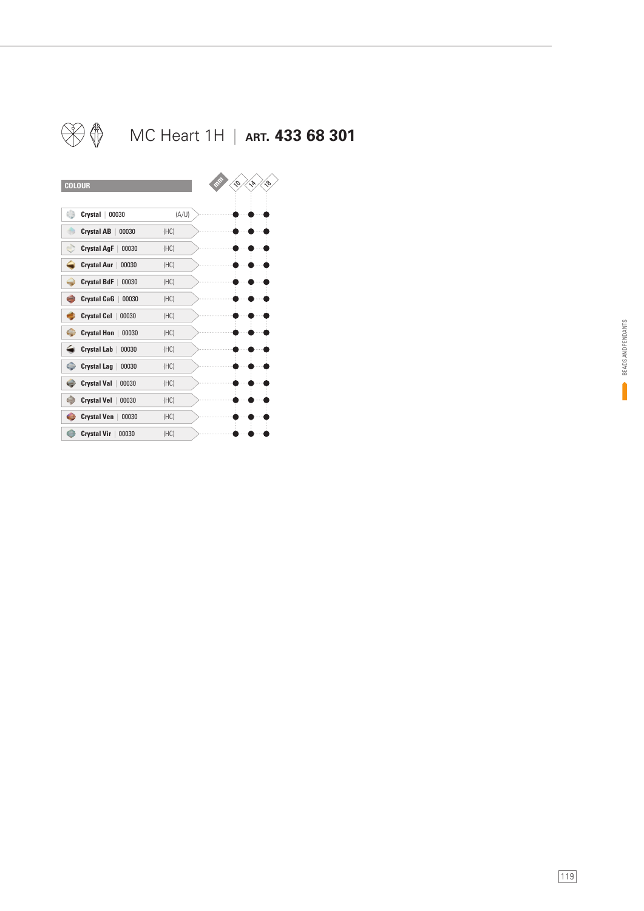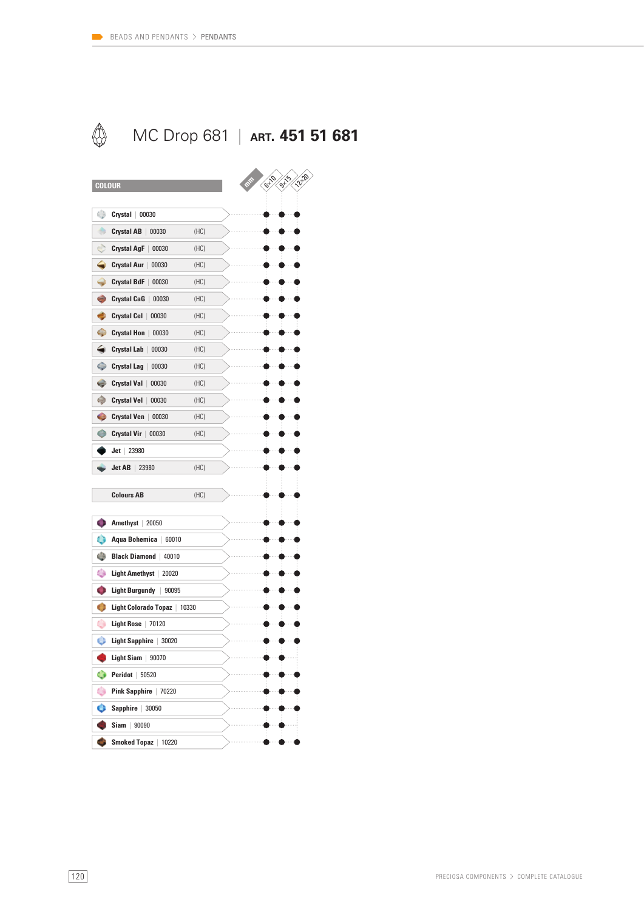

| <b>COLOUR</b>                            |       | 1220<br>6710<br><b>9719</b> |
|------------------------------------------|-------|-----------------------------|
|                                          |       |                             |
| ۰<br>$Crystal$ 00030                     |       |                             |
| ۰<br><b>Crystal AB</b><br>00030          | (HC)  |                             |
| Ò<br><b>Crystal AgF</b><br>00030         | (HC)  |                             |
| ◒<br>Crystal Aur  <br>00030              | (HC)  |                             |
| 0<br><b>Crystal BdF</b><br>00030         | (HC)  |                             |
| e<br><b>Crystal CaG</b><br>00030         | (HC)  |                             |
| ۰<br><b>Crystal Cel</b><br>00030         | (HC)  |                             |
| Ф<br><b>Crystal Hon</b><br>00030         | (HC)  |                             |
| ⇔<br><b>Crystal Lab</b><br>00030         | (HC)  |                             |
| 0<br><b>Crystal Lag</b><br>00030         | (HC)  |                             |
| <b>Crystal Val</b><br>00030<br>c         | (HC)  |                             |
| ۲<br><b>Crystal Vel</b><br>00030         | (HC)  |                             |
| $\bullet$<br><b>Crystal Ven</b><br>00030 | (HC)  |                             |
| o<br>Crystal Vir<br>00030                | (HC)  |                             |
| $Jet$   23980                            |       |                             |
| Jet AB<br>23980                          | (HC)  |                             |
| <b>Colours AB</b>                        |       |                             |
|                                          | (HC)  |                             |
| C)<br>Amethyst  <br>20050                |       |                             |
| ٥<br>Aqua Bohemica<br>60010              |       |                             |
| ۵<br><b>Black Diamond</b><br>40010       |       |                             |
| ٥<br><b>Light Amethyst</b><br>20020      |       |                             |
| 0<br><b>Light Burgundy</b><br>90095      |       |                             |
| G<br>Light Colorado Topaz                | 10330 |                             |
| ۰<br>70120<br>Light Rose                 |       |                             |
| Ó<br>Light Sapphire<br>30020             |       |                             |
| Light Siam<br>90070                      |       |                             |
| ۰<br><b>Peridot</b>   50520              |       |                             |
| ۰<br>Pink Sapphire   70220               |       |                             |
| $\bullet$ Sapphire   30050               |       |                             |
| $Siam$ 90090                             |       |                             |
| <b>Card</b><br>Smoked Topaz   10220      |       |                             |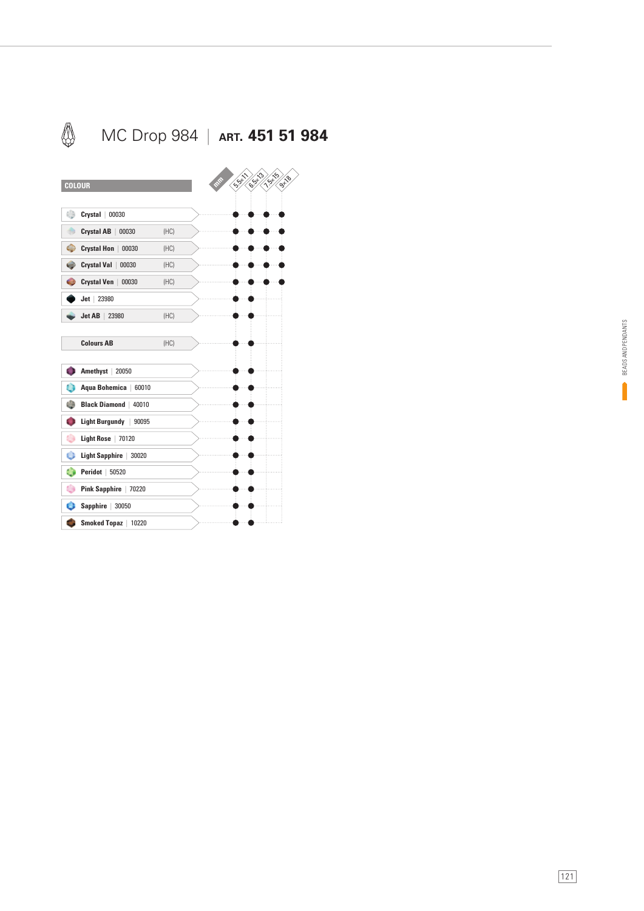

BEADS AND PENDANTS BEADS AND PENDANTS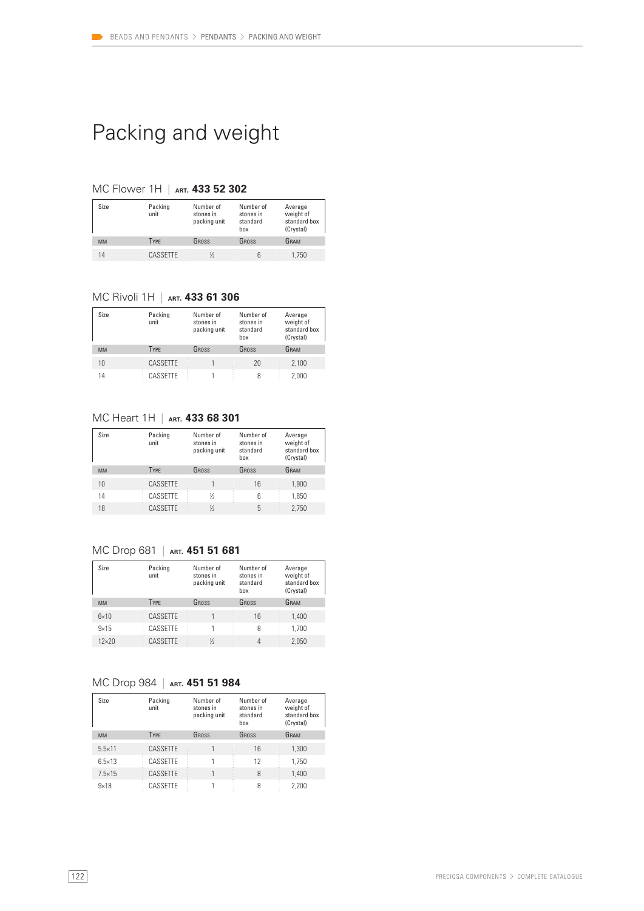# Packing and weight

#### MC Flower 1H | **ART. 433 52 302**

| Size      | Packing<br>unit | Number of<br>stones in<br>packing unit | Number of<br>stones in<br>standard<br>box | Average<br>weight of<br>standard box<br>(Crystal) |
|-----------|-----------------|----------------------------------------|-------------------------------------------|---------------------------------------------------|
| <b>MM</b> | <b>TYPE</b>     | GROSS                                  | GROSS                                     | GRAM                                              |
| 14        | CASSETTE        | ⅓                                      |                                           | 1.750                                             |

#### MC Rivoli 1H | **ART. 433 61 306**

| Size      | Packing<br>unit | Number of<br>stones in<br>packing unit | Number of<br>stones in<br>standard<br>box | Average<br>weight of<br>standard box<br>(Crystal) |
|-----------|-----------------|----------------------------------------|-------------------------------------------|---------------------------------------------------|
| <b>MM</b> | <b>TYPE</b>     | GROSS                                  | GROSS                                     | GRAM                                              |
| 10        | CASSETTE        |                                        | 20                                        | 2,100                                             |
| 14        | CASSETTE        |                                        |                                           | 2.000                                             |

#### MC Heart 1H | **ART. 433 68 301**

| Size      | Packing<br>unit | Number of<br>stones in<br>packing unit | Number of<br>stones in<br>standard<br>hox | Average<br>weight of<br>standard box<br>(Crystal) |
|-----------|-----------------|----------------------------------------|-------------------------------------------|---------------------------------------------------|
| <b>MM</b> | <b>TYPE</b>     | GROSS                                  | GROSS                                     | GRAM                                              |
| 10        | CASSETTE        |                                        | 16                                        | 1,900                                             |
| 14        | CASSETTE        | ⅓                                      | 6                                         | 1.850                                             |
| 18        | CASSETTE        | 1/2                                    | 5                                         | 2.750                                             |

#### MC Drop 681 | **ART. 451 51 681**

| Size         | Packing<br>unit | Number of<br>stones in<br>packing unit | Number of<br>stones in<br>standard<br>hox | Average<br>weight of<br>standard box<br>(Crystal) |
|--------------|-----------------|----------------------------------------|-------------------------------------------|---------------------------------------------------|
| <b>MM</b>    | <b>TYPE</b>     | GROSS                                  | GROSS                                     | GRAM                                              |
| $6\times10$  | CASSETTE        |                                        | 16                                        | 1.400                                             |
| $9\times15$  | CASSETTE        |                                        | 8                                         | 1.700                                             |
| $12\times20$ | CASSETTE        | $\frac{1}{2}$                          | 4                                         | 2.050                                             |

#### MC Drop 984 | **ART. 451 51 984**

| Size            | Packing<br>unit | Number of<br>stones in<br>packing unit | Number of<br>stones in<br>standard<br>hox | Average<br>weight of<br>standard box<br>(Crystal) |
|-----------------|-----------------|----------------------------------------|-------------------------------------------|---------------------------------------------------|
| <b>MM</b>       | <b>TYPE</b>     | GROSS                                  | GROSS                                     | GRAM                                              |
| $5.5 \times 11$ | CASSETTE        |                                        | 16                                        | 1.300                                             |
| $6.5 \times 13$ | CASSETTE        |                                        | 12                                        | 1,750                                             |
| $7.5 \times 15$ | CASSETTE        |                                        | 8                                         | 1.400                                             |
| $9\times18$     | CASSETTE        |                                        | 8                                         | 2.200                                             |